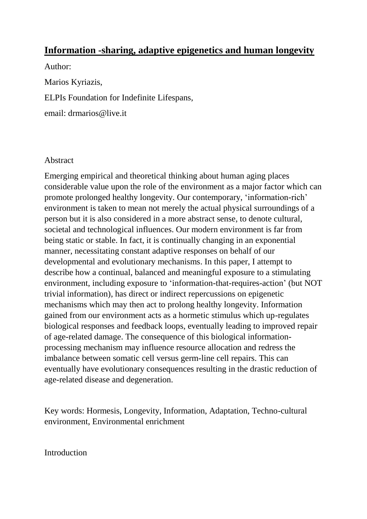# **Information -sharing, adaptive epigenetics and human longevity**

Author: Marios Kyriazis, ELPIs Foundation for Indefinite Lifespans, email: drmarios@live.it

### Abstract

Emerging empirical and theoretical thinking about human aging places considerable value upon the role of the environment as a major factor which can promote prolonged healthy longevity. Our contemporary, 'information-rich' environment is taken to mean not merely the actual physical surroundings of a person but it is also considered in a more abstract sense, to denote cultural, societal and technological influences. Our modern environment is far from being static or stable. In fact, it is continually changing in an exponential manner, necessitating constant adaptive responses on behalf of our developmental and evolutionary mechanisms. In this paper, I attempt to describe how a continual, balanced and meaningful exposure to a stimulating environment, including exposure to 'information-that-requires-action' (but NOT trivial information), has direct or indirect repercussions on epigenetic mechanisms which may then act to prolong healthy longevity. Information gained from our environment acts as a hormetic stimulus which up-regulates biological responses and feedback loops, eventually leading to improved repair of age-related damage. The consequence of this biological informationprocessing mechanism may influence resource allocation and redress the imbalance between somatic cell versus germ-line cell repairs. This can eventually have evolutionary consequences resulting in the drastic reduction of age-related disease and degeneration.

Key words: Hormesis, Longevity, Information, Adaptation, Techno-cultural environment, Environmental enrichment

**Introduction**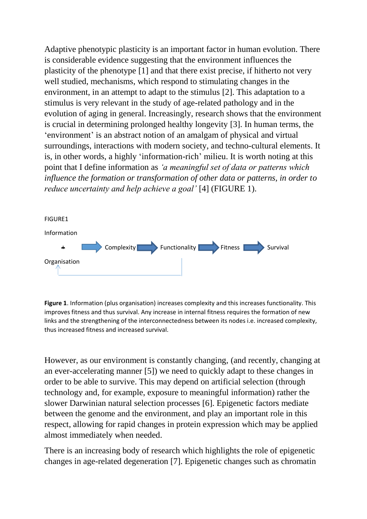Adaptive phenotypic plasticity is an important factor in human evolution. There is considerable evidence suggesting that the environment influences the plasticity of the phenotype [1] and that there exist precise, if hitherto not very well studied, mechanisms, which respond to stimulating changes in the environment, in an attempt to adapt to the stimulus [2]. This adaptation to a stimulus is very relevant in the study of age-related pathology and in the evolution of aging in general. Increasingly, research shows that the environment is crucial in determining prolonged healthy longevity [3]. In human terms, the 'environment' is an abstract notion of an amalgam of physical and virtual surroundings, interactions with modern society, and techno-cultural elements. It is, in other words, a highly 'information-rich' milieu. It is worth noting at this point that I define information as *'a meaningful set of data or patterns which influence the formation or transformation of other data or patterns, in order to reduce uncertainty and help achieve a goal'* [4] (FIGURE 1).



**Figure 1**. Information (plus organisation) increases complexity and this increases functionality. This improves fitness and thus survival. Any increase in internal fitness requires the formation of new links and the strengthening of the interconnectedness between its nodes i.e. increased complexity, thus increased fitness and increased survival.

However, as our environment is constantly changing, (and recently, changing at an ever-accelerating manner [5]) we need to quickly adapt to these changes in order to be able to survive. This may depend on artificial selection (through technology and, for example, exposure to meaningful information) rather the slower Darwinian natural selection processes [6]. Epigenetic factors mediate between the genome and the environment, and play an important role in this respect, allowing for rapid changes in protein expression which may be applied almost immediately when needed.

There is an increasing body of research which highlights the role of epigenetic changes in age-related degeneration [7]. Epigenetic changes such as chromatin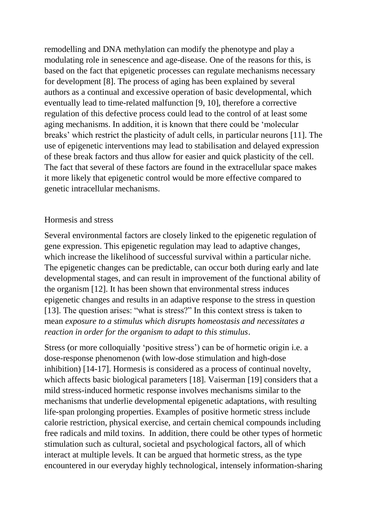remodelling and DNA methylation can modify the phenotype and play a modulating role in senescence and age-disease. One of the reasons for this, is based on the fact that epigenetic processes can regulate mechanisms necessary for development [8]. The process of aging has been explained by several authors as a continual and excessive operation of basic developmental, which eventually lead to time-related malfunction [9, 10], therefore a corrective regulation of this defective process could lead to the control of at least some aging mechanisms. In addition, it is known that there could be 'molecular breaks' which restrict the plasticity of adult cells, in particular neurons [11]. The use of epigenetic interventions may lead to stabilisation and delayed expression of these break factors and thus allow for easier and quick plasticity of the cell. The fact that several of these factors are found in the extracellular space makes it more likely that epigenetic control would be more effective compared to genetic intracellular mechanisms.

### Hormesis and stress

Several environmental factors are closely linked to the epigenetic regulation of gene expression. This epigenetic regulation may lead to adaptive changes, which increase the likelihood of successful survival within a particular niche. The epigenetic changes can be predictable, can occur both during early and late developmental stages, and can result in improvement of the functional ability of the organism [12]. It has been shown that environmental stress induces epigenetic changes and results in an adaptive response to the stress in question [13]. The question arises: "what is stress?" In this context stress is taken to mean *exposure to a stimulus which disrupts homeostasis and necessitates a reaction in order for the organism to adapt to this stimulus*.

Stress (or more colloquially 'positive stress') can be of hormetic origin i.e. a dose-response phenomenon (with low-dose stimulation and high-dose inhibition) [14-17]. Hormesis is considered as a process of continual novelty, which affects basic biological parameters [18]. Vaiserman [19] considers that a mild stress-induced hormetic response involves mechanisms similar to the mechanisms that underlie developmental epigenetic adaptations, with resulting life-span prolonging properties. Examples of positive hormetic stress include calorie restriction, physical exercise, and certain chemical compounds including free radicals and mild toxins. In addition, there could be other types of hormetic stimulation such as cultural, societal and psychological factors, all of which interact at multiple levels. It can be argued that hormetic stress, as the type encountered in our everyday highly technological, intensely information-sharing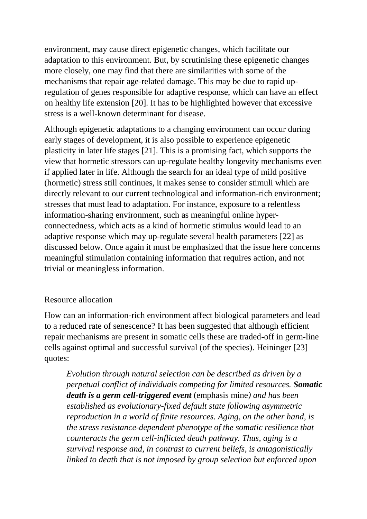environment, may cause direct epigenetic changes, which facilitate our adaptation to this environment. But, by scrutinising these epigenetic changes more closely, one may find that there are similarities with some of the mechanisms that repair age-related damage. This may be due to rapid upregulation of genes responsible for adaptive response, which can have an effect on healthy life extension [20]. It has to be highlighted however that excessive stress is a well-known determinant for disease.

Although epigenetic adaptations to a changing environment can occur during early stages of development, it is also possible to experience epigenetic plasticity in later life stages [21]. This is a promising fact, which supports the view that hormetic stressors can up-regulate healthy longevity mechanisms even if applied later in life. Although the search for an ideal type of mild positive (hormetic) stress still continues, it makes sense to consider stimuli which are directly relevant to our current technological and information-rich environment; stresses that must lead to adaptation. For instance, exposure to a relentless information-sharing environment, such as meaningful online hyperconnectedness, which acts as a kind of hormetic stimulus would lead to an adaptive response which may up-regulate several health parameters [22] as discussed below. Once again it must be emphasized that the issue here concerns meaningful stimulation containing information that requires action, and not trivial or meaningless information.

### Resource allocation

How can an information-rich environment affect biological parameters and lead to a reduced rate of senescence? It has been suggested that although efficient repair mechanisms are present in somatic cells these are traded-off in germ-line cells against optimal and successful survival (of the species). Heininger [23] quotes:

*Evolution through natural selection can be described as driven by a perpetual conflict of individuals competing for limited resources. Somatic death is a germ cell-triggered event* (emphasis mine*) and has been established as evolutionary-fixed default state following asymmetric reproduction in a world of finite resources. Aging, on the other hand, is the stress resistance-dependent phenotype of the somatic resilience that counteracts the germ cell-inflicted death pathway. Thus, aging is a survival response and, in contrast to current beliefs, is antagonistically linked to death that is not imposed by group selection but enforced upon*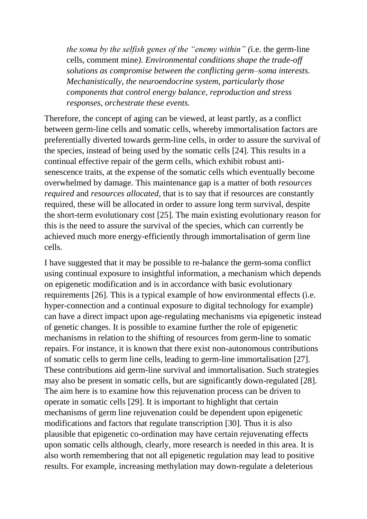*the soma by the selfish genes of the "enemy within" (*i.e. the germ-line cells, comment mine*). Environmental conditions shape the trade-off solutions as compromise between the conflicting germ–soma interests. Mechanistically, the neuroendocrine system, particularly those components that control energy balance, reproduction and stress responses, orchestrate these events.* 

Therefore, the concept of aging can be viewed, at least partly, as a conflict between germ-line cells and somatic cells, whereby immortalisation factors are preferentially diverted towards germ-line cells, in order to assure the survival of the species, instead of being used by the somatic cells [24]. This results in a continual effective repair of the germ cells, which exhibit robust antisenescence traits, at the expense of the somatic cells which eventually become overwhelmed by damage. This maintenance gap is a matter of both *resources required* and *resources allocated*, that is to say that if resources are constantly required, these will be allocated in order to assure long term survival, despite the short-term evolutionary cost [25]. The main existing evolutionary reason for this is the need to assure the survival of the species, which can currently be achieved much more energy-efficiently through immortalisation of germ line cells.

I have suggested that it may be possible to re-balance the germ-soma conflict using continual exposure to insightful information, a mechanism which depends on epigenetic modification and is in accordance with basic evolutionary requirements [26]. This is a typical example of how environmental effects (i.e. hyper-connection and a continual exposure to digital technology for example) can have a direct impact upon age-regulating mechanisms via epigenetic instead of genetic changes. It is possible to examine further the role of epigenetic mechanisms in relation to the shifting of resources from germ-line to somatic repairs. For instance, it is known that there exist non-autonomous contributions of somatic cells to germ line cells, leading to germ-line immortalisation [27]. These contributions aid germ-line survival and immortalisation. Such strategies may also be present in somatic cells, but are significantly down-regulated [28]. The aim here is to examine how this rejuvenation process can be driven to operate in somatic cells [29]. It is important to highlight that certain mechanisms of germ line rejuvenation could be dependent upon epigenetic modifications and factors that regulate transcription [30]. Thus it is also plausible that epigenetic co-ordination may have certain rejuvenating effects upon somatic cells although, clearly, more research is needed in this area. It is also worth remembering that not all epigenetic regulation may lead to positive results. For example, increasing methylation may down-regulate a deleterious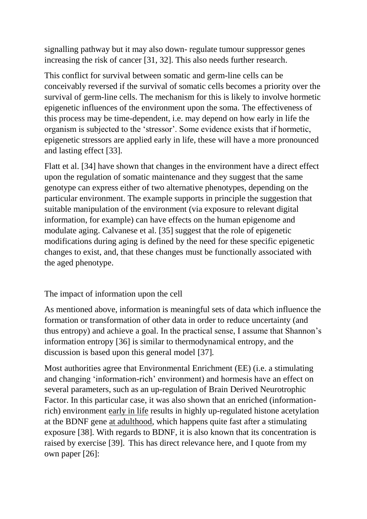signalling pathway but it may also down- regulate tumour suppressor genes increasing the risk of cancer [31, 32]. This also needs further research.

This conflict for survival between somatic and germ-line cells can be conceivably reversed if the survival of somatic cells becomes a priority over the survival of germ-line cells. The mechanism for this is likely to involve hormetic epigenetic influences of the environment upon the soma. The effectiveness of this process may be time-dependent, i.e. may depend on how early in life the organism is subjected to the 'stressor'. Some evidence exists that if hormetic, epigenetic stressors are applied early in life, these will have a more pronounced and lasting effect [33].

Flatt et al. [34] have shown that changes in the environment have a direct effect upon the regulation of somatic maintenance and they suggest that the same genotype can express either of two alternative phenotypes, depending on the particular environment. The example supports in principle the suggestion that suitable manipulation of the environment (via exposure to relevant digital information, for example) can have effects on the human epigenome and modulate aging. Calvanese et al. [35] suggest that the role of epigenetic modifications during aging is defined by the need for these specific epigenetic changes to exist, and, that these changes must be functionally associated with the aged phenotype.

The impact of information upon the cell

As mentioned above, information is meaningful sets of data which influence the formation or transformation of other data in order to reduce uncertainty (and thus entropy) and achieve a goal. In the practical sense, I assume that Shannon's information entropy [36] is similar to thermodynamical entropy, and the discussion is based upon this general model [37]*.*

Most authorities agree that Environmental Enrichment (EE) (i.e. a stimulating and changing 'information-rich' environment) and hormesis have an effect on several parameters, such as an up-regulation of Brain Derived Neurotrophic Factor. In this particular case, it was also shown that an enriched (informationrich) environment early in life results in highly up-regulated histone acetylation at the BDNF gene at adulthood, which happens quite fast after a stimulating exposure [38]. With regards to BDNF, it is also known that its concentration is raised by exercise [39]. This has direct relevance here, and I quote from my own paper [26]: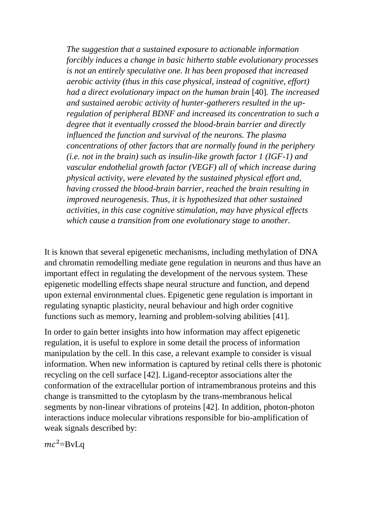*The suggestion that a sustained exposure to actionable information forcibly induces a change in basic hitherto stable evolutionary processes is not an entirely speculative one. It has been proposed that increased aerobic activity (thus in this case physical, instead of cognitive, effort) had a direct evolutionary impact on the human brain* [40]*. The increased and sustained aerobic activity of hunter-gatherers resulted in the upregulation of peripheral BDNF and increased its concentration to such a degree that it eventually crossed the blood-brain barrier and directly influenced the function and survival of the neurons. The plasma concentrations of other factors that are normally found in the periphery (i.e. not in the brain) such as insulin-like growth factor 1 (IGF-1) and vascular endothelial growth factor (VEGF) all of which increase during physical activity, were elevated by the sustained physical effort and, having crossed the blood-brain barrier, reached the brain resulting in improved neurogenesis. Thus, it is hypothesized that other sustained activities, in this case cognitive stimulation, may have physical effects which cause a transition from one evolutionary stage to another.*

It is known that several epigenetic mechanisms, including methylation of DNA and chromatin remodelling mediate gene regulation in neurons and thus have an important effect in regulating the development of the nervous system. These epigenetic modelling effects shape neural structure and function, and depend upon external environmental clues. Epigenetic gene regulation is important in regulating synaptic plasticity, neural behaviour and high order cognitive functions such as memory, learning and problem-solving abilities [41].

In order to gain better insights into how information may affect epigenetic regulation, it is useful to explore in some detail the process of information manipulation by the cell. In this case, a relevant example to consider is visual information. When new information is captured by retinal cells there is photonic recycling on the cell surface [42]. Ligand-receptor associations alter the conformation of the extracellular portion of intramembranous proteins and this change is transmitted to the cytoplasm by the trans-membranous helical segments by non-linear vibrations of proteins [42]. In addition, photon-photon interactions induce molecular vibrations responsible for bio-amplification of weak signals described by:

 $mc^2 = BvLa$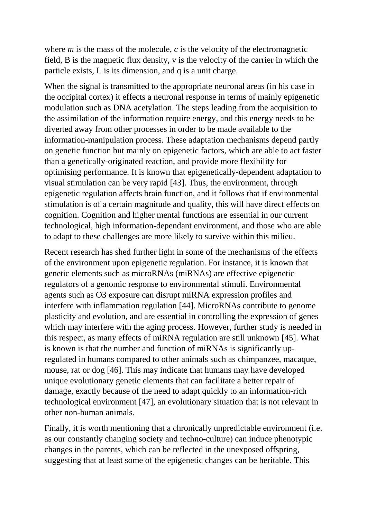where  $m$  is the mass of the molecule,  $c$  is the velocity of the electromagnetic field, B is the magnetic flux density, v is the velocity of the carrier in which the particle exists, L is its dimension, and q is a unit charge.

When the signal is transmitted to the appropriate neuronal areas (in his case in the occipital cortex) it effects a neuronal response in terms of mainly epigenetic modulation such as DNA acetylation. The steps leading from the acquisition to the assimilation of the information require energy, and this energy needs to be diverted away from other processes in order to be made available to the information-manipulation process. These adaptation mechanisms depend partly on genetic function but mainly on epigenetic factors, which are able to act faster than a genetically-originated reaction, and provide more flexibility for optimising performance. It is known that epigenetically-dependent adaptation to visual stimulation can be very rapid [43]. Thus, the environment, through epigenetic regulation affects brain function, and it follows that if environmental stimulation is of a certain magnitude and quality, this will have direct effects on cognition. Cognition and higher mental functions are essential in our current technological, high information-dependant environment, and those who are able to adapt to these challenges are more likely to survive within this milieu.

Recent research has shed further light in some of the mechanisms of the effects of the environment upon epigenetic regulation. For instance, it is known that genetic elements such as microRNAs (miRNAs) are effective epigenetic regulators of a genomic response to environmental stimuli. Environmental agents such as O3 exposure can disrupt miRNA expression profiles and interfere with inflammation regulation [44]. MicroRNAs contribute to genome plasticity and evolution, and are essential in controlling the expression of genes which may interfere with the aging process. However, further study is needed in this respect, as many effects of miRNA regulation are still unknown [45]. What is known is that the number and function of miRNAs is significantly upregulated in humans compared to other animals such as chimpanzee, macaque, mouse, rat or dog [46]. This may indicate that humans may have developed unique evolutionary genetic elements that can facilitate a better repair of damage, exactly because of the need to adapt quickly to an information-rich technological environment [47], an evolutionary situation that is not relevant in other non-human animals.

Finally, it is worth mentioning that a chronically unpredictable environment (i.e. as our constantly changing society and techno-culture) can induce phenotypic changes in the parents, which can be reflected in the unexposed offspring, suggesting that at least some of the epigenetic changes can be heritable. This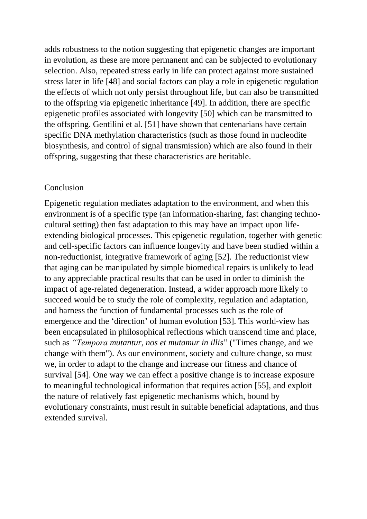adds robustness to the notion suggesting that epigenetic changes are important in evolution, as these are more permanent and can be subjected to evolutionary selection. Also, repeated stress early in life can protect against more sustained stress later in life [48] and social factors can play a role in epigenetic regulation the effects of which not only persist throughout life, but can also be transmitted to the offspring via epigenetic inheritance [49]. In addition, there are specific epigenetic profiles associated with longevity [50] which can be transmitted to the offspring. Gentilini et al. [51] have shown that centenarians have certain specific DNA methylation characteristics (such as those found in nucleodite biosynthesis, and control of signal transmission) which are also found in their offspring, suggesting that these characteristics are heritable.

#### Conclusion

Epigenetic regulation mediates adaptation to the environment, and when this environment is of a specific type (an information-sharing, fast changing technocultural setting) then fast adaptation to this may have an impact upon lifeextending biological processes. This epigenetic regulation, together with genetic and cell-specific factors can influence longevity and have been studied within a non-reductionist, integrative framework of aging [52]. The reductionist view that aging can be manipulated by simple biomedical repairs is unlikely to lead to any appreciable practical results that can be used in order to diminish the impact of age-related degeneration. Instead, a wider approach more likely to succeed would be to study the role of complexity, regulation and adaptation, and harness the function of fundamental processes such as the role of emergence and the 'direction' of human evolution [53]. This world-view has been encapsulated in philosophical reflections which transcend time and place, such as *"Tempora mutantur, nos et mutamur in illis*" ("Times change, and we change with them"). As our environment, society and culture change, so must we, in order to adapt to the change and increase our fitness and chance of survival [54]. One way we can effect a positive change is to increase exposure to meaningful technological information that requires action [55], and exploit the nature of relatively fast epigenetic mechanisms which, bound by evolutionary constraints, must result in suitable beneficial adaptations, and thus extended survival.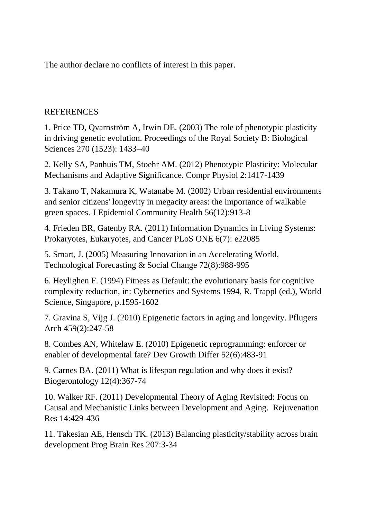The author declare no conflicts of interest in this paper.

## **REFERENCES**

1. Price TD, Qvarnström A, Irwin DE. (2003) The role of phenotypic plasticity in driving genetic evolution. Proceedings of the Royal Society B: Biological Sciences 270 (1523): 1433–40

2. Kelly SA, Panhuis TM, Stoehr AM. (2012) Phenotypic Plasticity: Molecular Mechanisms and Adaptive Significance. Compr Physiol 2:1417-1439

3. Takano T, Nakamura K, Watanabe M. (2002) Urban residential environments and senior citizens' longevity in megacity areas: the importance of walkable green spaces. J Epidemiol Community Health 56(12):913-8

4. Frieden BR, Gatenby RA. (2011) Information Dynamics in Living Systems: Prokaryotes, Eukaryotes, and Cancer PLoS ONE 6(7): e22085

5. Smart, J. (2005) Measuring Innovation in an Accelerating World, Technological Forecasting & Social Change 72(8):988-995

6. Heylighen F. (1994) Fitness as Default: the evolutionary basis for cognitive complexity reduction, in: Cybernetics and Systems 1994, R. Trappl (ed.), World Science, Singapore, p.1595-1602

7. Gravina S, Vijg J. (2010) Epigenetic factors in aging and longevity. Pflugers Arch 459(2):247-58

8. Combes AN, Whitelaw E. (2010) Epigenetic reprogramming: enforcer or enabler of developmental fate? Dev Growth Differ 52(6):483-91

9. Carnes BA. (2011) What is lifespan regulation and why does it exist? Biogerontology 12(4):367-74

10. Walker RF. (2011) Developmental Theory of Aging Revisited: Focus on Causal and Mechanistic Links between Development and Aging. Rejuvenation Res 14:429-436

11. Takesian AE, Hensch TK. (2013) Balancing plasticity/stability across brain development Prog Brain Res 207:3-34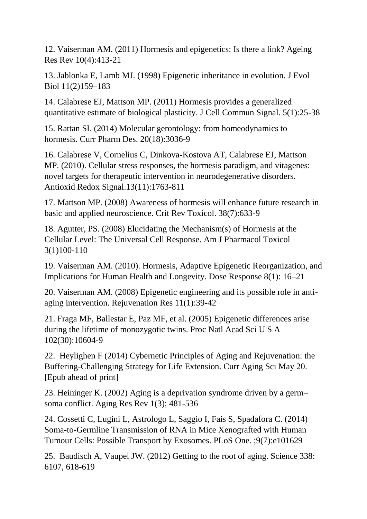12. Vaiserman AM. (2011) Hormesis and epigenetics: Is there a link? Ageing Res Rev 10(4):413-21

13. Jablonka E, Lamb MJ. (1998) Epigenetic inheritance in evolution. J Evol Biol 11(2)159–183

14. Calabrese EJ, Mattson MP. (2011) Hormesis provides a generalized quantitative estimate of biological plasticity. J Cell Commun Signal. 5(1):25-38

15. Rattan SI. (2014) Molecular gerontology: from homeodynamics to hormesis. Curr Pharm Des. 20(18):3036-9

16. Calabrese V, Cornelius C, Dinkova-Kostova AT, Calabrese EJ, Mattson MP. (2010). Cellular stress responses, the hormesis paradigm, and vitagenes: novel targets for therapeutic intervention in neurodegenerative disorders. Antioxid Redox Signal.13(11):1763-811

17. Mattson MP. (2008) Awareness of hormesis will enhance future research in basic and applied neuroscience. Crit Rev Toxicol. 38(7):633-9

18. Agutter, PS. (2008) Elucidating the Mechanism(s) of Hormesis at the Cellular Level: The Universal Cell Response. Am J Pharmacol Toxicol 3(1)100-110

19. Vaiserman AM. (2010). Hormesis, Adaptive Epigenetic Reorganization, and Implications for Human Health and Longevity. Dose Response 8(1): 16–21

20. Vaiserman AM. (2008) Epigenetic engineering and its possible role in antiaging intervention. Rejuvenation Res 11(1):39-42

21. Fraga MF, Ballestar E, Paz MF, et al. (2005) Epigenetic differences arise during the lifetime of monozygotic twins. Proc Natl Acad Sci U S A 102(30):10604-9

22. Heylighen F (2014) Cybernetic Principles of Aging and Rejuvenation: the Buffering-Challenging Strategy for Life Extension. Curr Aging Sci May 20. [Epub ahead of print]

23. Heininger K. (2002) Aging is a deprivation syndrome driven by a germ– soma conflict. Aging Res Rev 1(3); 481-536

24. Cossetti C, Lugini L, Astrologo L, Saggio I, Fais S, Spadafora C. (2014) Soma-to-Germline Transmission of RNA in Mice Xenografted with Human Tumour Cells: Possible Transport by Exosomes. PLoS One. ;9(7):e101629

25. Baudisch A, Vaupel JW. (2012) Getting to the root of aging. Science 338: 6107, 618-619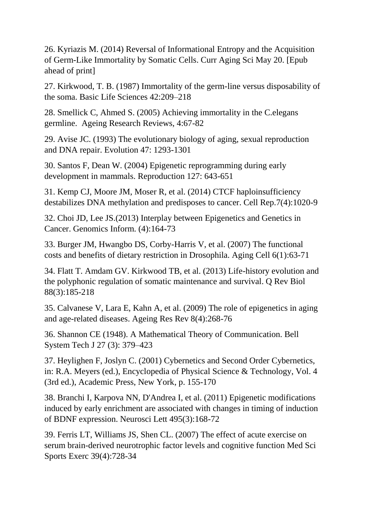26. Kyriazis M. (2014) Reversal of Informational Entropy and the Acquisition of Germ-Like Immortality by Somatic Cells. Curr Aging Sci May 20. [Epub ahead of print]

27. Kirkwood, T. B. (1987) Immortality of the germ-line versus disposability of the soma. Basic Life Sciences 42:209–218

28. Smellick C, Ahmed S. (2005) Achieving immortality in the C.elegans germline. Ageing Research Reviews, 4:67-82

29. Avise JC. (1993) The evolutionary biology of aging, sexual reproduction and DNA repair. Evolution 47: 1293-1301

30. Santos F, Dean W. (2004) Epigenetic reprogramming during early development in mammals. Reproduction 127: 643-651

31. Kemp CJ, Moore JM, Moser R, et al. (2014) CTCF haploinsufficiency destabilizes DNA methylation and predisposes to cancer. Cell Rep.7(4):1020-9

32. Choi JD, Lee JS.(2013) Interplay between Epigenetics and Genetics in Cancer. Genomics Inform. (4):164-73

33. Burger JM, Hwangbo DS, Corby-Harris V, et al. (2007) The functional costs and benefits of dietary restriction in Drosophila. Aging Cell 6(1):63-71

34. Flatt T. Amdam GV. Kirkwood TB, et al. (2013) Life-history evolution and the polyphonic regulation of somatic maintenance and survival. Q Rev Biol 88(3):185-218

35. Calvanese V, Lara E, Kahn A, et al. (2009) The role of epigenetics in aging and age-related diseases. Ageing Res Rev 8(4):268-76

36. Shannon CE (1948). A Mathematical Theory of Communication. Bell System Tech J 27 (3): 379–423

37. Heylighen F, Joslyn C. (2001) Cybernetics and Second Order Cybernetics, in: R.A. Meyers (ed.), Encyclopedia of Physical Science & Technology, Vol. 4 (3rd ed.), Academic Press, New York, p. 155-170

38. Branchi I, Karpova NN, D'Andrea I, et al. (2011) Epigenetic modifications induced by early enrichment are associated with changes in timing of induction of BDNF expression. Neurosci Lett 495(3):168-72

39. Ferris LT, Williams JS, Shen CL. (2007) The effect of acute exercise on serum brain-derived neurotrophic factor levels and cognitive function Med Sci Sports Exerc 39(4):728-34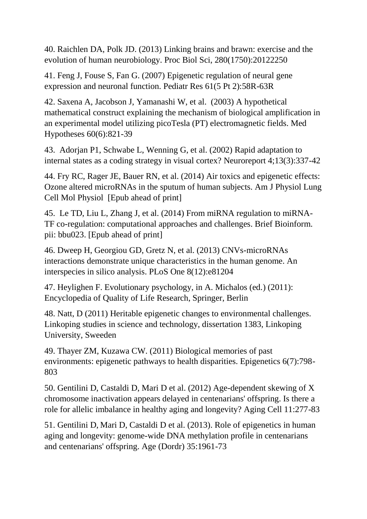40. Raichlen DA, Polk JD. (2013) Linking brains and brawn: exercise and the evolution of human neurobiology. Proc Biol Sci, 280(1750):20122250

41. Feng J, Fouse S, Fan G. (2007) Epigenetic regulation of neural gene expression and neuronal function. Pediatr Res 61(5 Pt 2):58R-63R

42. Saxena A, Jacobson J, Yamanashi W, et al. (2003) A hypothetical mathematical construct explaining the mechanism of biological amplification in an experimental model utilizing picoTesla (PT) electromagnetic fields. Med Hypotheses 60(6):821-39

43. Adorjan P1, Schwabe L, Wenning G, et al. (2002) Rapid adaptation to internal states as a coding strategy in visual cortex? Neuroreport 4;13(3):337-42

44. Fry RC, Rager JE, Bauer RN, et al. (2014) Air toxics and epigenetic effects: Ozone altered microRNAs in the sputum of human subjects. Am J Physiol Lung Cell Mol Physiol [Epub ahead of print]

45. Le TD, Liu L, Zhang J, et al. (2014) From miRNA regulation to miRNA-TF co-regulation: computational approaches and challenges. Brief Bioinform. pii: bbu023. [Epub ahead of print]

46. Dweep H, Georgiou GD, Gretz N, et al. (2013) CNVs-microRNAs interactions demonstrate unique characteristics in the human genome. An interspecies in silico analysis. PLoS One 8(12):e81204

47. Heylighen F. Evolutionary psychology, in A. Michalos (ed.) (2011): Encyclopedia of Quality of Life Research, Springer, Berlin

48. Natt, D (2011) Heritable epigenetic changes to environmental challenges. Linkoping studies in science and technology, dissertation 1383, Linkoping University, Sweeden

49. Thayer ZM, Kuzawa CW. (2011) Biological memories of past environments: epigenetic pathways to health disparities. Epigenetics 6(7):798- 803

50. Gentilini D, Castaldi D, Mari D et al. (2012) Age-dependent skewing of X chromosome inactivation appears delayed in centenarians' offspring. Is there a role for allelic imbalance in healthy aging and longevity? Aging Cell 11:277-83

51. Gentilini D, Mari D, Castaldi D et al. (2013). Role of epigenetics in human aging and longevity: genome-wide DNA methylation profile in centenarians and centenarians' offspring. Age (Dordr) 35:1961-73